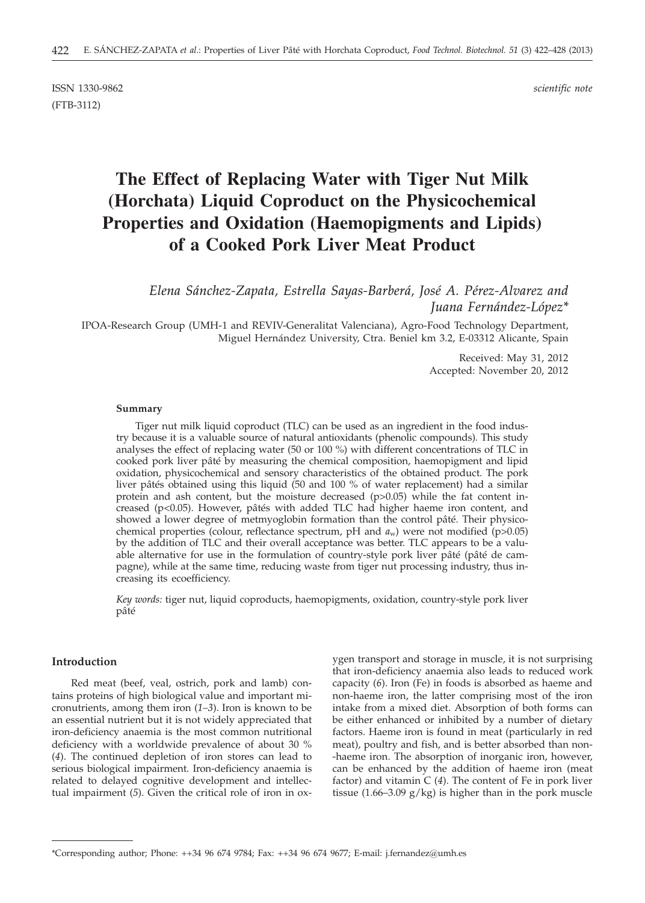ISSN 1330-9862 *scientific note* (FTB-3112)

# **The Effect of Replacing Water with Tiger Nut Milk (Horchata) Liquid Coproduct on the Physicochemical Properties and Oxidation (Haemopigments and Lipids) of a Cooked Pork Liver Meat Product**

*Elena Sánchez-Zapata, Estrella Sayas-Barberá, José A. Pérez-Alvarez and Juana Fernández-López\**

IPOA-Research Group (UMH-1 and REVIV-Generalitat Valenciana), Agro-Food Technology Department, Miguel Hernández University, Ctra. Beniel km 3.2, E-03312 Alicante, Spain

> Received: May 31, 2012 Accepted: November 20, 2012

#### **Summary**

Tiger nut milk liquid coproduct (TLC) can be used as an ingredient in the food industry because it is a valuable source of natural antioxidants (phenolic compounds). This study analyses the effect of replacing water (50 or 100 %) with different concentrations of TLC in cooked pork liver pâté by measuring the chemical composition, haemopigment and lipid oxidation, physicochemical and sensory characteristics of the obtained product. The pork liver pâtés obtained using this liquid (50 and 100 % of water replacement) had a similar protein and ash content, but the moisture decreased  $(p>0.05)$  while the fat content increased ( $p$ <0.05). However, pâtés with added TLC had higher haeme iron content, and showed a lower degree of metmyoglobin formation than the control pâté. Their physicochemical properties (colour, reflectance spectrum, pH and  $a_w$ ) were not modified (p>0.05) by the addition of TLC and their overall acceptance was better. TLC appears to be a valuable alternative for use in the formulation of country-style pork liver pâté (pâté de campagne), while at the same time, reducing waste from tiger nut processing industry, thus increasing its ecoefficiency.

*Key words:* tiger nut, liquid coproducts, haemopigments, oxidation, country-style pork liver pâté

# **Introduction**

Red meat (beef, veal, ostrich, pork and lamb) contains proteins of high biological value and important micronutrients, among them iron (*1–3*). Iron is known to be an essential nutrient but it is not widely appreciated that iron-deficiency anaemia is the most common nutritional deficiency with a worldwide prevalence of about 30 % (*4*). The continued depletion of iron stores can lead to serious biological impairment. Iron-deficiency anaemia is related to delayed cognitive development and intellectual impairment (*5*). Given the critical role of iron in oxygen transport and storage in muscle, it is not surprising that iron-deficiency anaemia also leads to reduced work capacity (*6*). Iron (Fe) in foods is absorbed as haeme and non-haeme iron, the latter comprising most of the iron intake from a mixed diet. Absorption of both forms can be either enhanced or inhibited by a number of dietary factors. Haeme iron is found in meat (particularly in red meat), poultry and fish, and is better absorbed than non- -haeme iron. The absorption of inorganic iron, however, can be enhanced by the addition of haeme iron (meat factor) and vitamin C (*4*). The content of Fe in pork liver tissue (1.66–3.09 g/kg) is higher than in the pork muscle

<sup>\*</sup>Corresponding author; Phone: ++34 96 674 9784; Fax: ++34 96 674 9677; E-mail: j.fernandez@umh.es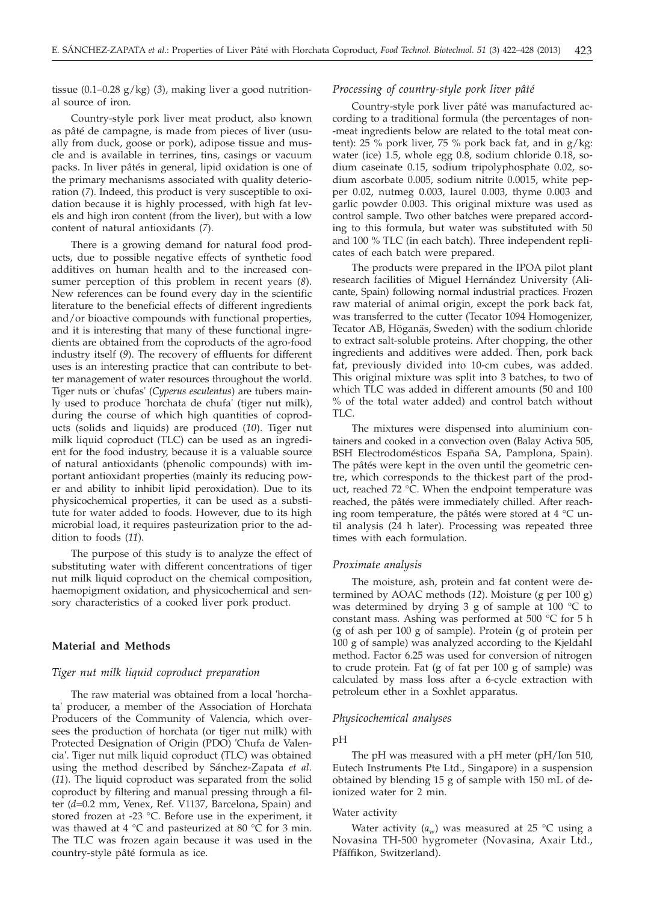tissue (0.1–0.28 g/kg) (*3*), making liver a good nutritional source of iron.

Country-style pork liver meat product, also known as pâté de campagne, is made from pieces of liver (usually from duck, goose or pork), adipose tissue and muscle and is available in terrines, tins, casings or vacuum packs. In liver pâtés in general, lipid oxidation is one of the primary mechanisms associated with quality deterioration (*7*). Indeed, this product is very susceptible to oxidation because it is highly processed, with high fat levels and high iron content (from the liver), but with a low content of natural antioxidants (*7*).

There is a growing demand for natural food products, due to possible negative effects of synthetic food additives on human health and to the increased consumer perception of this problem in recent years (*8*). New references can be found every day in the scientific literature to the beneficial effects of different ingredients and/or bioactive compounds with functional properties, and it is interesting that many of these functional ingredients are obtained from the coproducts of the agro-food industry itself (*9*). The recovery of effluents for different uses is an interesting practice that can contribute to better management of water resources throughout the world. Tiger nuts or 'chufas' (*Cyperus esculentus*) are tubers mainly used to produce 'horchata de chufa' (tiger nut milk), during the course of which high quantities of coproducts (solids and liquids) are produced (*10*). Tiger nut milk liquid coproduct (TLC) can be used as an ingredient for the food industry, because it is a valuable source of natural antioxidants (phenolic compounds) with important antioxidant properties (mainly its reducing power and ability to inhibit lipid peroxidation). Due to its physicochemical properties, it can be used as a substitute for water added to foods. However, due to its high microbial load, it requires pasteurization prior to the addition to foods (*11*).

The purpose of this study is to analyze the effect of substituting water with different concentrations of tiger nut milk liquid coproduct on the chemical composition, haemopigment oxidation, and physicochemical and sensory characteristics of a cooked liver pork product.

# **Material and Methods**

# *Tiger nut milk liquid coproduct preparation*

The raw material was obtained from a local 'horchata' producer, a member of the Association of Horchata Producers of the Community of Valencia, which oversees the production of horchata (or tiger nut milk) with Protected Designation of Origin (PDO) 'Chufa de Valencia'. Tiger nut milk liquid coproduct (TLC) was obtained using the method described by Sánchez-Zapata *et al.* (*11*). The liquid coproduct was separated from the solid coproduct by filtering and manual pressing through a filter (*d*=0.2 mm, Venex, Ref. V1137, Barcelona, Spain) and stored frozen at -23 °C. Before use in the experiment, it was thawed at 4  $\degree$ C and pasteurized at 80  $\degree$ C for 3 min. The TLC was frozen again because it was used in the country-style pâté formula as ice.

# *Processing of country-style pork liver pâté*

Country-style pork liver pâté was manufactured according to a traditional formula (the percentages of non- -meat ingredients below are related to the total meat content): 25 % pork liver, 75 % pork back fat, and in  $g/kg$ : water (ice) 1.5, whole egg 0.8, sodium chloride 0.18, sodium caseinate 0.15, sodium tripolyphosphate 0.02, sodium ascorbate 0.005, sodium nitrite 0.0015, white pepper 0.02, nutmeg 0.003, laurel 0.003, thyme 0.003 and garlic powder 0.003. This original mixture was used as control sample. Two other batches were prepared according to this formula, but water was substituted with 50 and 100 % TLC (in each batch). Three independent replicates of each batch were prepared.

The products were prepared in the IPOA pilot plant research facilities of Miguel Hernández University (Alicante, Spain) following normal industrial practices. Frozen raw material of animal origin, except the pork back fat, was transferred to the cutter (Tecator 1094 Homogenizer, Tecator AB, Höganäs, Sweden) with the sodium chloride to extract salt-soluble proteins. After chopping, the other ingredients and additives were added. Then, pork back fat, previously divided into 10-cm cubes, was added. This original mixture was split into 3 batches, to two of which TLC was added in different amounts (50 and 100 % of the total water added) and control batch without TLC.

The mixtures were dispensed into aluminium containers and cooked in a convection oven (Balay Activa 505, BSH Electrodomésticos España SA, Pamplona, Spain). The pâtés were kept in the oven until the geometric centre, which corresponds to the thickest part of the product, reached 72 °C. When the endpoint temperature was reached, the pâtés were immediately chilled. After reaching room temperature, the pâtés were stored at 4 °C until analysis (24 h later). Processing was repeated three times with each formulation.

#### *Proximate analysis*

The moisture, ash, protein and fat content were determined by AOAC methods (*12*). Moisture (g per 100 g) was determined by drying 3 g of sample at 100 °C to constant mass. Ashing was performed at 500 °C for 5 h (g of ash per 100 g of sample). Protein (g of protein per 100 g of sample) was analyzed according to the Kjeldahl method. Factor 6.25 was used for conversion of nitrogen to crude protein. Fat (g of fat per 100 g of sample) was calculated by mass loss after a 6-cycle extraction with petroleum ether in a Soxhlet apparatus.

#### *Physicochemical analyses*

#### pH

The pH was measured with a pH meter (pH/Ion 510, Eutech Instruments Pte Ltd., Singapore) in a suspension obtained by blending 15 g of sample with 150 mL of deionized water for 2 min.

#### Water activity

Water activity  $(a_w)$  was measured at 25 °C using a Novasina TH-500 hygrometer (Novasina, Axair Ltd., Pfäffikon, Switzerland).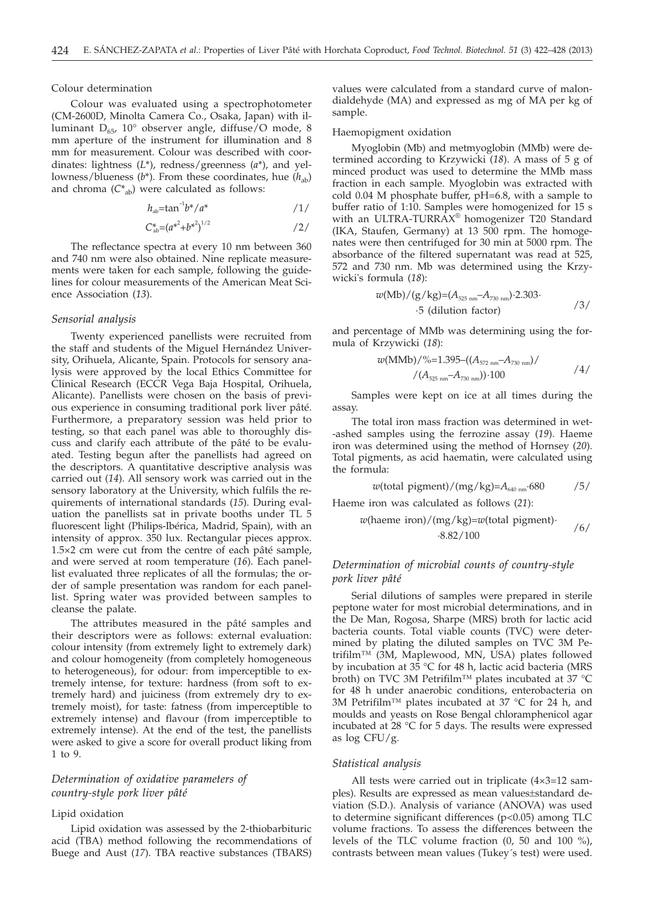Colour determination

Colour was evaluated using a spectrophotometer (CM-2600D, Minolta Camera Co., Osaka, Japan) with illuminant  $D_{65}$ , 10° observer angle, diffuse/O mode, 8 mm aperture of the instrument for illumination and 8 mm for measurement. Colour was described with coordinates: lightness (*L*\*), redness/greenness (*a*\*), and yellowness/blueness  $(b^*)$ . From these coordinates, hue  $(h_{ab})$ and chroma  $(C_{ab}^*)$  were calculated as follows:

$$
h_{ab} = \tan^{-1}b^*/a^* \qquad \qquad \frac{1}{}
$$

$$
C_{ab}^* = (a^{*^2} + b^{*^2})^{1/2} \tag{2/}
$$

The reflectance spectra at every 10 nm between 360 and 740 nm were also obtained. Nine replicate measurements were taken for each sample, following the guidelines for colour measurements of the American Meat Science Association (*13*).

# *Sensorial analysis*

Twenty experienced panellists were recruited from the staff and students of the Miguel Hernández University, Orihuela, Alicante, Spain. Protocols for sensory analysis were approved by the local Ethics Committee for Clinical Research (ECCR Vega Baja Hospital, Orihuela, Alicante). Panellists were chosen on the basis of previous experience in consuming traditional pork liver pâté. Furthermore, a preparatory session was held prior to testing, so that each panel was able to thoroughly discuss and clarify each attribute of the pâté to be evaluated. Testing begun after the panellists had agreed on the descriptors. A quantitative descriptive analysis was carried out (*14*). All sensory work was carried out in the sensory laboratory at the University, which fulfils the requirements of international standards (*15*). During evaluation the panellists sat in private booths under TL 5 fluorescent light (Philips-Ibérica, Madrid, Spain), with an intensity of approx. 350 lux. Rectangular pieces approx. 1.5×2 cm were cut from the centre of each pâté sample, and were served at room temperature (*16*). Each panellist evaluated three replicates of all the formulas; the order of sample presentation was random for each panellist. Spring water was provided between samples to cleanse the palate.

The attributes measured in the pâté samples and their descriptors were as follows: external evaluation: colour intensity (from extremely light to extremely dark) and colour homogeneity (from completely homogeneous to heterogeneous), for odour: from imperceptible to extremely intense, for texture: hardness (from soft to extremely hard) and juiciness (from extremely dry to extremely moist), for taste: fatness (from imperceptible to extremely intense) and flavour (from imperceptible to extremely intense). At the end of the test, the panellists were asked to give a score for overall product liking from 1 to 9.

# *Determination of oxidative parameters of country-style pork liver pâté*

#### Lipid oxidation

Lipid oxidation was assessed by the 2-thiobarbituric acid (TBA) method following the recommendations of Buege and Aust (*17*). TBA reactive substances (TBARS)

values were calculated from a standard curve of malondialdehyde (MA) and expressed as mg of MA per kg of sample.

#### Haemopigment oxidation

Myoglobin (Mb) and metmyoglobin (MMb) were determined according to Krzywicki (*18*). A mass of 5 g of minced product was used to determine the MMb mass fraction in each sample. Myoglobin was extracted with cold 0.04 M phosphate buffer, pH=6.8, with a sample to buffer ratio of 1:10. Samples were homogenized for 15 s with an ULTRA-TURRAX® homogenizer T20 Standard (IKA, Staufen, Germany) at 13 500 rpm. The homogenates were then centrifuged for 30 min at 5000 rpm. The absorbance of the filtered supernatant was read at 525, 572 and 730 nm. Mb was determined using the Krzywicki's formula (*18*):

$$
w(Mb)/(g/kg)=(A_{525\ nm}-A_{730\ nm})\cdot 2.303
$$
  
.5 (dilution factor)

and percentage of MMb was determining using the formula of Krzywicki (*18*):

$$
w(MMb)/\%=1.395-((A_{572 \text{ nm}}-A_{730 \text{ nm}})/\n/(A_{525 \text{ nm}}-A_{730 \text{ nm}}))\cdot 100
$$

Samples were kept on ice at all times during the assay.

The total iron mass fraction was determined in wet- -ashed samples using the ferrozine assay (*19*). Haeme iron was determined using the method of Hornsey (*20*). Total pigments, as acid haematin, were calculated using the formula:

$$
w(\text{total pigment})/(\text{mg/kg}) = A_{640 \text{ nm}} \cdot 680 \quad \text{75/}
$$

Haeme iron was calculated as follows (*21*):

$$
w(\text{haeme iron})/(\text{mg/kg}) = w(\text{total pigment})
$$
·  
6/8.82/100

# *Determination of microbial counts of country-style pork liver pâté*

Serial dilutions of samples were prepared in sterile peptone water for most microbial determinations, and in the De Man, Rogosa, Sharpe (MRS) broth for lactic acid bacteria counts. Total viable counts (TVC) were determined by plating the diluted samples on TVC 3M Petrifilm™ (3M, Maplewood, MN, USA) plates followed by incubation at 35 °C for 48 h, lactic acid bacteria (MRS broth) on TVC 3M Petrifilm™ plates incubated at 37 °C for 48 h under anaerobic conditions, enterobacteria on 3M Petrifilm™ plates incubated at 37 °C for 24 h, and moulds and yeasts on Rose Bengal chloramphenicol agar incubated at 28 °C for 5 days. The results were expressed as log CFU/g.

#### *Statistical analysis*

All tests were carried out in triplicate (4×3=12 samples). Results are expressed as mean values±standard deviation (S.D.). Analysis of variance (ANOVA) was used to determine significant differences (p<0.05) among TLC volume fractions. To assess the differences between the levels of the TLC volume fraction (0, 50 and 100 %), contrasts between mean values (Tukey´s test) were used.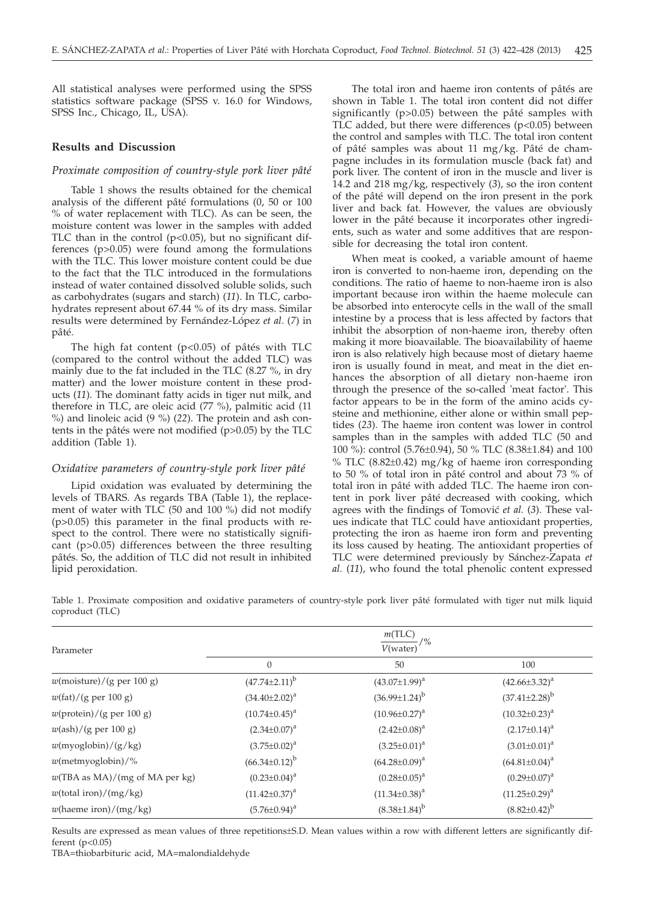All statistical analyses were performed using the SPSS statistics software package (SPSS v. 16.0 for Windows, SPSS Inc., Chicago, IL, USA).

# **Results and Discussion**

# *Proximate composition of country-style pork liver pâté*

Table 1 shows the results obtained for the chemical analysis of the different pâté formulations (0, 50 or 100 % of water replacement with TLC). As can be seen, the moisture content was lower in the samples with added TLC than in the control  $(p<0.05)$ , but no significant differences (p>0.05) were found among the formulations with the TLC. This lower moisture content could be due to the fact that the TLC introduced in the formulations instead of water contained dissolved soluble solids, such as carbohydrates (sugars and starch) (*11*). In TLC, carbohydrates represent about 67.44 % of its dry mass. Similar results were determined by Fernández-López *et al*. (*7*) in pâté.

The high fat content  $(p<0.05)$  of pâtés with TLC (compared to the control without the added TLC) was mainly due to the fat included in the TLC (8.27 %, in dry matter) and the lower moisture content in these products (*11*). The dominant fatty acids in tiger nut milk, and therefore in TLC, are oleic acid (77 %), palmitic acid (11 %) and linoleic acid (9 %) (*22*). The protein and ash contents in the pâtés were not modified (p>0.05) by the TLC addition (Table 1).

### *Oxidative parameters of country-style pork liver pâté*

Lipid oxidation was evaluated by determining the levels of TBARS. As regards TBA (Table 1), the replacement of water with TLC (50 and 100 %) did not modify (p>0.05) this parameter in the final products with respect to the control. There were no statistically significant (p>0.05) differences between the three resulting pâtés. So, the addition of TLC did not result in inhibited lipid peroxidation.

The total iron and haeme iron contents of pâtés are shown in Table 1. The total iron content did not differ significantly (p>0.05) between the pâté samples with TLC added, but there were differences  $(p<0.05)$  between the control and samples with TLC. The total iron content of pâté samples was about 11 mg/kg. Pâté de champagne includes in its formulation muscle (back fat) and pork liver. The content of iron in the muscle and liver is 14.2 and 218 mg/kg, respectively (*3*), so the iron content of the pâté will depend on the iron present in the pork liver and back fat. However, the values are obviously lower in the pâté because it incorporates other ingredients, such as water and some additives that are responsible for decreasing the total iron content.

When meat is cooked, a variable amount of haeme iron is converted to non-haeme iron, depending on the conditions. The ratio of haeme to non-haeme iron is also important because iron within the haeme molecule can be absorbed into enterocyte cells in the wall of the small intestine by a process that is less affected by factors that inhibit the absorption of non-haeme iron, thereby often making it more bioavailable. The bioavailability of haeme iron is also relatively high because most of dietary haeme iron is usually found in meat, and meat in the diet enhances the absorption of all dietary non-haeme iron through the presence of the so-called 'meat factor'. This factor appears to be in the form of the amino acids cysteine and methionine, either alone or within small peptides (*23*). The haeme iron content was lower in control samples than in the samples with added TLC (50 and 100 %): control (5.76±0.94), 50 % TLC (8.38±1.84) and 100 % TLC (8.82±0.42) mg/kg of haeme iron corresponding to 50 % of total iron in pâté control and about 73 % of total iron in pâté with added TLC. The haeme iron content in pork liver pâté decreased with cooking, which agrees with the findings of Tomović et al. (3). These values indicate that TLC could have antioxidant properties, protecting the iron as haeme iron form and preventing its loss caused by heating. The antioxidant properties of TLC were determined previously by Sánchez-Zapata *et al.* (*11*), who found the total phenolic content expressed

Table 1. Proximate composition and oxidative parameters of country-style pork liver pâté formulated with tiger nut milk liquid coproduct (TLC)

| Parameter                                        | m(TLC)<br>$/ \frac{9}{6}$<br>V(water) |                      |                        |  |
|--------------------------------------------------|---------------------------------------|----------------------|------------------------|--|
|                                                  | $\overline{0}$                        | 50                   | 100                    |  |
| $w$ (moisture)/(g per 100 g)                     | $(47.74 \pm 2.11)^b$                  | $(43.07 \pm 1.99)^a$ | $(42.66\pm3.32)^a$     |  |
| $w(\text{fat})/(g \text{ per } 100 \text{ g})$   | $(34.40 \pm 2.02)^a$                  | $(36.99 \pm 1.24)^b$ | $(37.41 \pm 2.28)^{b}$ |  |
| $w$ (protein)/(g per 100 g)                      | $(10.74 \pm 0.45)^a$                  | $(10.96 \pm 0.27)^a$ | $(10.32 \pm 0.23)^a$   |  |
| $w(\text{ash})/(\text{g per }100 \text{ g})$     | $(2.34 \pm 0.07)^a$                   | $(2.42 \pm 0.08)^a$  | $(2.17 \pm 0.14)^a$    |  |
| $w$ (myoglobin)/ $(g/kg)$                        | $(3.75 \pm 0.02)^a$                   | $(3.25 \pm 0.01)^a$  | $(3.01 \pm 0.01)^a$    |  |
| $w(\text{metmyoglobin})/\%$                      | $(66.34 \pm 0.12)^b$                  | $(64.28 \pm 0.09)^a$ | $(64.81 \pm 0.04)^a$   |  |
| $w(TBA \text{ as MA})/(mg \text{ of MA per kg})$ | $(0.23 \pm 0.04)^a$                   | $(0.28 \pm 0.05)^a$  | $(0.29 \pm 0.07)^a$    |  |
| $w$ (total iron)/(mg/kg)                         | $(11.42 \pm 0.37)^a$                  | $(11.34 \pm 0.38)^a$ | $(11.25 \pm 0.29)^a$   |  |
| $w$ (haeme iron)/(mg/kg)                         | $(5.76 \pm 0.94)^a$                   | $(8.38\pm1.84)^{b}$  | $(8.82 \pm 0.42)^b$    |  |
|                                                  |                                       |                      |                        |  |

Results are expressed as mean values of three repetitions±S.D. Mean values within a row with different letters are significantly different  $(p<0.05)$ 

TBA=thiobarbituric acid, MA=malondialdehyde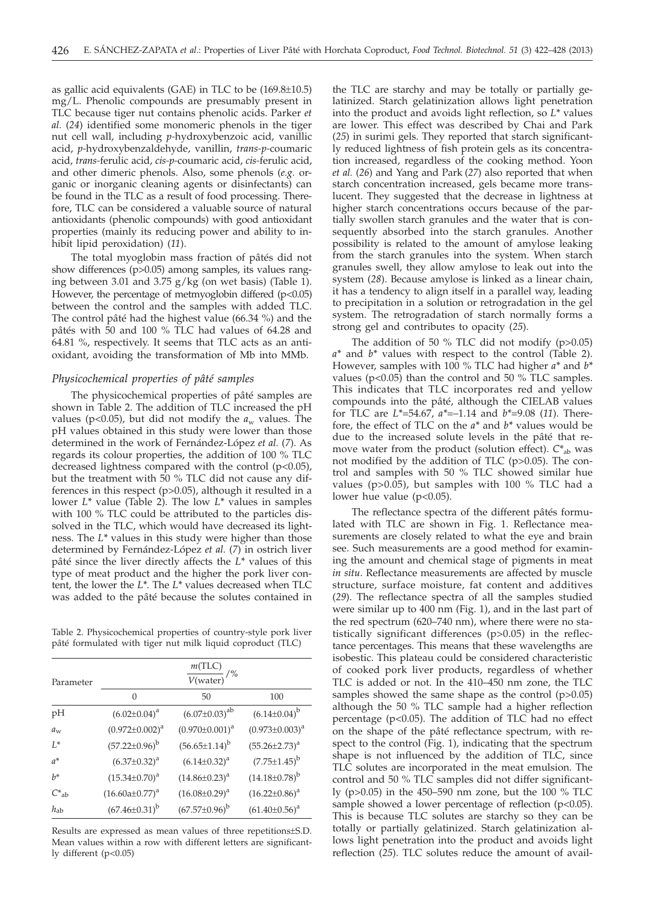as gallic acid equivalents (GAE) in TLC to be (169.8±10.5) mg/L. Phenolic compounds are presumably present in TLC because tiger nut contains phenolic acids. Parker *et al.* (*24*) identified some monomeric phenols in the tiger nut cell wall, including *p-*hydroxybenzoic acid, vanillic acid, *p-*hydroxybenzaldehyde, vanillin, *trans-p-*coumaric acid, *trans-*ferulic acid, *cis-p-*coumaric acid, *cis-*ferulic acid, and other dimeric phenols. Also, some phenols (*e.g.* organic or inorganic cleaning agents or disinfectants) can be found in the TLC as a result of food processing. Therefore, TLC can be considered a valuable source of natural antioxidants (phenolic compounds) with good antioxidant properties (mainly its reducing power and ability to inhibit lipid peroxidation) (*11*).

The total myoglobin mass fraction of pâtés did not show differences (p>0.05) among samples, its values ranging between 3.01 and 3.75 g/kg (on wet basis) (Table 1). However, the percentage of metmyoglobin differed (p<0.05) between the control and the samples with added TLC. The control pâté had the highest value (66.34 %) and the pâtés with 50 and 100 % TLC had values of 64.28 and 64.81 %, respectively. It seems that TLC acts as an antioxidant, avoiding the transformation of Mb into MMb.

# *Physicochemical properties of pâté samples*

The physicochemical properties of pâté samples are shown in Table 2. The addition of TLC increased the pH values ( $p$ <0.05), but did not modify the  $a_w$  values. The pH values obtained in this study were lower than those determined in the work of Fernández-López *et al.* (*7*). As regards its colour properties, the addition of 100 % TLC decreased lightness compared with the control (p<0.05), but the treatment with 50 % TLC did not cause any differences in this respect (p>0.05), although it resulted in a lower *L\** value (Table 2). The low *L\** values in samples with 100 % TLC could be attributed to the particles dissolved in the TLC, which would have decreased its lightness. The *L\** values in this study were higher than those determined by Fernández-López *et al.* (*7*) in ostrich liver pâté since the liver directly affects the *L\** values of this type of meat product and the higher the pork liver content, the lower the *L\**. The *L\** values decreased when TLC was added to the pâté because the solutes contained in

Table 2. Physicochemical properties of country-style pork liver pâté formulated with tiger nut milk liquid coproduct (TLC)

| Parameter  |                       | $\frac{m(TLC)}{V(water)}$<br>/% |                       |
|------------|-----------------------|---------------------------------|-----------------------|
|            | $\Omega$              | 50                              | 100                   |
| pH         | $(6.02 \pm 0.04)^a$   | $(6.07 \pm 0.03)^{ab}$          | $(6.14 \pm 0.04)^{b}$ |
| $a_w$      | $(0.972 \pm 0.002)^a$ | $(0.970 \pm 0.001)^a$           | $(0.973 \pm 0.003)^a$ |
| $L^*$      | $(57.22 \pm 0.96)^b$  | $(56.65 \pm 1.14)^b$            | $(55.26 \pm 2.73)^a$  |
| $a^*$      | $(6.37 \pm 0.32)^a$   | $(6.14 \pm 0.32)^a$             | $(7.75 \pm 1.45)^{b}$ |
| $h^*$      | $(15.34 \pm 0.70)^a$  | $(14.86 \pm 0.23)^a$            | $(14.18\pm0.78)^{b}$  |
| $C_{ab}^*$ | $(16.60a \pm 0.77)^a$ | $(16.08 \pm 0.29)^a$            | $(16.22 \pm 0.86)^a$  |
| $h_{ab}$   | $(67.46 \pm 0.31)^b$  | $(67.57 \pm 0.96)^b$            | $(61.40 \pm 0.56)^a$  |

Results are expressed as mean values of three repetitions±S.D. Mean values within a row with different letters are significantly different (p<0.05)

the TLC are starchy and may be totally or partially gelatinized. Starch gelatinization allows light penetration into the product and avoids light reflection, so *L\** values are lower. This effect was described by Chai and Park (*25*) in surimi gels. They reported that starch significantly reduced lightness of fish protein gels as its concentration increased, regardless of the cooking method. Yoon *et al.* (*26*) and Yang and Park (*27*) also reported that when starch concentration increased, gels became more translucent. They suggested that the decrease in lightness at higher starch concentrations occurs because of the partially swollen starch granules and the water that is consequently absorbed into the starch granules. Another possibility is related to the amount of amylose leaking from the starch granules into the system. When starch granules swell, they allow amylose to leak out into the system (*28*). Because amylose is linked as a linear chain, it has a tendency to align itself in a parallel way, leading to precipitation in a solution or retrogradation in the gel system. The retrogradation of starch normally forms a strong gel and contributes to opacity (*25*).

The addition of 50  $\%$  TLC did not modify (p $>0.05$ ) *a\** and *b\** values with respect to the control (Table 2). However, samples with 100 % TLC had higher *a\** and *b\** values ( $p$ <0.05) than the control and 50 % TLC samples. This indicates that TLC incorporates red and yellow compounds into the pâté, although the CIELAB values for TLC are *L\**=54.67, *a\**=–1.14 and *b\**=9.08 (*11*). Therefore, the effect of TLC on the *a\** and *b\** values would be due to the increased solute levels in the pâté that remove water from the product (solution effect).  $C_{ab}^*$  was not modified by the addition of TLC (p>0.05). The control and samples with 50 % TLC showed similar hue values ( $p > 0.05$ ), but samples with 100 % TLC had a lower hue value (p<0.05).

The reflectance spectra of the different pâtés formulated with TLC are shown in Fig. 1. Reflectance measurements are closely related to what the eye and brain see. Such measurements are a good method for examining the amount and chemical stage of pigments in meat *in situ*. Reflectance measurements are affected by muscle structure, surface moisture, fat content and additives (*29*). The reflectance spectra of all the samples studied were similar up to 400 nm (Fig. 1), and in the last part of the red spectrum (620–740 nm), where there were no statistically significant differences (p>0.05) in the reflectance percentages. This means that these wavelengths are isobestic. This plateau could be considered characteristic of cooked pork liver products, regardless of whether TLC is added or not. In the 410–450 nm zone, the TLC samples showed the same shape as the control (p>0.05) although the 50 % TLC sample had a higher reflection percentage (p<0.05). The addition of TLC had no effect on the shape of the pâté reflectance spectrum, with respect to the control (Fig. 1), indicating that the spectrum shape is not influenced by the addition of TLC, since TLC solutes are incorporated in the meat emulsion. The control and 50 % TLC samples did not differ significantly (p>0.05) in the 450–590 nm zone, but the 100 % TLC sample showed a lower percentage of reflection (p<0.05). This is because TLC solutes are starchy so they can be totally or partially gelatinized. Starch gelatinization allows light penetration into the product and avoids light reflection (*25*). TLC solutes reduce the amount of avail-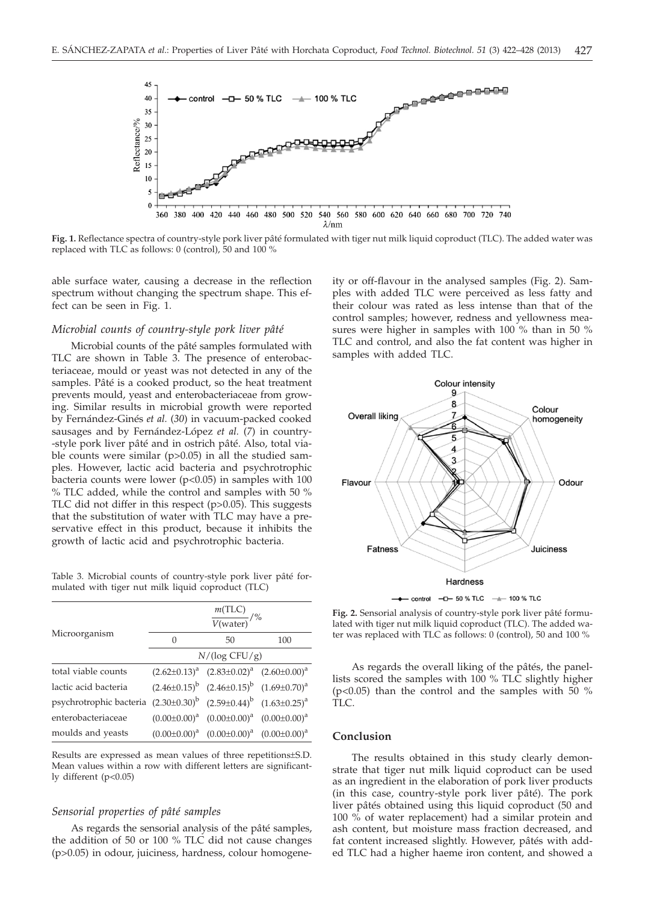

**Fig. 1.** Reflectance spectra of country-style pork liver pâté formulated with tiger nut milk liquid coproduct (TLC). The added water was replaced with TLC as follows: 0 (control), 50 and 100 %

able surface water, causing a decrease in the reflection spectrum without changing the spectrum shape. This effect can be seen in Fig. 1.

#### *Microbial counts of country-style pork liver pâté*

Microbial counts of the pâté samples formulated with TLC are shown in Table 3. The presence of enterobacteriaceae, mould or yeast was not detected in any of the samples. Pâté is a cooked product, so the heat treatment prevents mould, yeast and enterobacteriaceae from growing. Similar results in microbial growth were reported by Fernández-Ginés *et al.* (*30*) in vacuum-packed cooked sausages and by Fernández-López *et al.* (*7*) in country- -style pork liver pâté and in ostrich pâté. Also, total viable counts were similar  $(p>0.05)$  in all the studied samples. However, lactic acid bacteria and psychrotrophic bacteria counts were lower ( $p$ <0.05) in samples with 100 % TLC added, while the control and samples with 50 % TLC did not differ in this respect (p>0.05). This suggests that the substitution of water with TLC may have a preservative effect in this product, because it inhibits the growth of lactic acid and psychrotrophic bacteria.

Table 3. Microbial counts of country-style pork liver pâté formulated with tiger nut milk liquid coproduct (TLC)

|                                                                               | $\frac{m(TLC)}{V(water)}$ /% |                                                       |     |  |
|-------------------------------------------------------------------------------|------------------------------|-------------------------------------------------------|-----|--|
| Microorganism                                                                 | 0                            | 50                                                    | 100 |  |
|                                                                               | $N/(\log CFU/g)$             |                                                       |     |  |
| total viable counts                                                           |                              | $(2.62\pm0.13)^a$ $(2.83\pm0.02)^a$ $(2.60\pm0.00)^a$ |     |  |
| lactic acid bacteria                                                          |                              | $(2.46\pm0.15)^b$ $(2.46\pm0.15)^b$ $(1.69\pm0.70)^a$ |     |  |
| psychrotrophic bacteria $(2.30\pm0.30)^b$ $(2.59\pm0.44)^b$ $(1.63\pm0.25)^a$ |                              |                                                       |     |  |
| enterobacteriaceae                                                            |                              | $(0.00\pm0.00)^a$ $(0.00\pm0.00)^a$ $(0.00\pm0.00)^a$ |     |  |
| moulds and yeasts                                                             |                              | $(0.00\pm0.00)^a$ $(0.00\pm0.00)^a$ $(0.00\pm0.00)^a$ |     |  |

Results are expressed as mean values of three repetitions±S.D. Mean values within a row with different letters are significantly different (p<0.05)

# *Sensorial properties of pâté samples*

As regards the sensorial analysis of the pâté samples, the addition of 50 or 100 % TLC did not cause changes (p>0.05) in odour, juiciness, hardness, colour homogeneity or off-flavour in the analysed samples (Fig. 2). Samples with added TLC were perceived as less fatty and their colour was rated as less intense than that of the control samples; however, redness and yellowness measures were higher in samples with 100 % than in 50 % TLC and control, and also the fat content was higher in samples with added TLC.



**Fig. 2.** Sensorial analysis of country-style pork liver pâté formulated with tiger nut milk liquid coproduct (TLC). The added water was replaced with TLC as follows: 0 (control), 50 and 100 %

As regards the overall liking of the pâtés, the panellists scored the samples with 100 % TLC slightly higher  $(p<0.05)$  than the control and the samples with 50 % TLC.

#### **Conclusion**

The results obtained in this study clearly demonstrate that tiger nut milk liquid coproduct can be used as an ingredient in the elaboration of pork liver products (in this case, country-style pork liver pâté). The pork liver pâtés obtained using this liquid coproduct (50 and 100 % of water replacement) had a similar protein and ash content, but moisture mass fraction decreased, and fat content increased slightly. However, pâtés with added TLC had a higher haeme iron content, and showed a